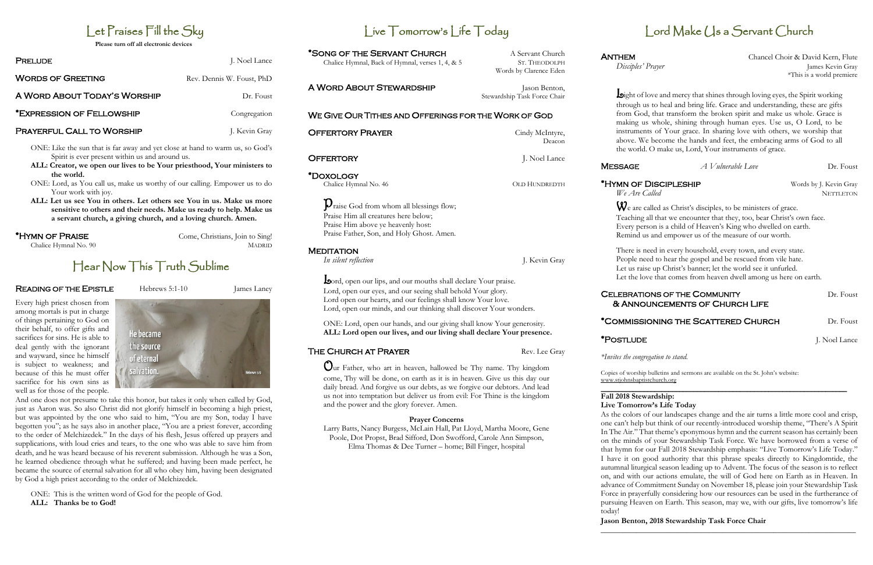## Let Praises Fill the Sky

**Please turn off all electronic devices**

| J. Noel Lance             |
|---------------------------|
| Rev. Dennis W. Foust, PhD |
| Dr. Foust                 |
| Congregation              |
| J. Kevin Gray             |
|                           |

ONE: Like the sun that is far away and yet close at hand to warm us, so God's Spirit is ever present within us and around us.

- **ALL: Creator, we open our lives to be Your priesthood, Your ministers to the world.**
- ONE: Lord, as You call us, make us worthy of our calling. Empower us to do Your work with joy.
- **ALL: Let us see You in others. Let others see You in us. Make us more sensitive to others and their needs. Make us ready to help. Make us a servant church, a giving church, and a loving church. Amen.**

#### \*Hymn of Praise Come, Christians, Join to Sing!

Chalice Hymnal No. 90 MADRID

## Hear Now This Truth Sublime

#### **READING OF THE EPISTLE** Hebrews 5:1-10 **James Laney**

Every high priest chosen from among mortals is put in charge of things pertaining to God on their behalf, to offer gifts and sacrifices for sins. He is able to deal gently with the ignorant and wayward, since he himself is subject to weakness; and because of this he must offer sacrifice for his own sins as well as for those of the people.



A WORD ABOUT STEWARDSHIP Jason Benton, Stewardship Task Force Chair

And one does not presume to take this honor, but takes it only when called by God, just as Aaron was. So also Christ did not glorify himself in becoming a high priest, but was appointed by the one who said to him, "You are my Son, today I have begotten you"; as he says also in another place, "You are a priest forever, according to the order of Melchizedek." In the days of his flesh, Jesus offered up prayers and supplications, with loud cries and tears, to the one who was able to save him from death, and he was heard because of his reverent submission. Although he was a Son, he learned obedience through what he suffered; and having been made perfect, he became the source of eternal salvation for all who obey him, having been designated by God a high priest according to the order of Melchizedek.

ANTHEM Chancel Choir & David Kern, Flute *Disciples' Prayer* James Kevin Gray \*This is a world premiere

**MESSAGE** *A Vulnerable Love* Dr. Foust

ONE: This is the written word of God for the people of God. **ALL: Thanks be to God!**

## Live Tomorrow's Life Today

\*SONG OF THE SERVANT CHURCH A Servant Church Chalice Hymnal, Back of Hymnal, verses 1, 4, & 5 ST. THEODOLPH

 $\mathbf{D}_{\text{raise}}$  God from whom all blessings flow;

Words by Clarence Eden

#### WE GIVE OUR TITHES AND OFFERINGS FOR THE WORK OF GOD

**OFFERTORY PRAYER** Cindy McIntyre, Deacon OFFERTORY **J. Noel Lance** 

\*Doxology

**MEDITATION** 

#### CELEBRATIONS OF THE COMMUNITY Dr. Foust & Announcements of Church Life

Praise Him all creatures here below; Praise Him above ye heavenly host:

Praise Father, Son, and Holy Ghost. Amen.

Lord, open our lips, and our mouths shall declare Your praise. Lord, open our eyes, and our seeing shall behold Your glory. Lord open our hearts, and our feelings shall know Your love.

Lord, open our minds, and our thinking shall discover Your wonders.

ONE: Lord, open our hands, and our giving shall know Your generosity. **ALL: Lord open our lives, and our living shall declare Your presence.** 

THE CHURCH AT PRAYER Rev. Lee Gray

Our Father, who art in heaven, hallowed be Thy name. Thy kingdom come, Thy will be done, on earth as it is in heaven. Give us this day our daily bread. And forgive us our debts, as we forgive our debtors. And lead us not into temptation but deliver us from evil: For Thine is the kingdom and the power and the glory forever. Amen.

*In silent reflection* J. Kevin Gray

#### **Prayer Concerns**

Larry Batts, Nancy Burgess, McLain Hall, Pat Lloyd, Martha Moore, Gene Poole, Dot Propst, Brad Sifford, Don Swofford, Carole Ann Simpson, Elma Thomas & Dee Turner – home; Bill Finger, hospital

Light of love and mercy that shines through loving eyes, the Spirit working through us to heal and bring life. Grace and understanding, these are gifts from God, that transform the broken spirit and make us whole. Grace is making us whole, shining through human eyes. Use us, O Lord, to be instruments of Your grace. In sharing love with others, we worship that above. We become the hands and feet, the embracing arms of God to all the world. O make us, Lord, Your instruments of grace.

Chalice Hymnal No. 46 OLD HUNDREDTH

## Lord Make (1s a Servant Church

We are called as Christ's disciples, to be ministers of grace. Teaching all that we encounter that they, too, bear Christ's own face. Every person is a child of Heaven's King who dwelled on earth. Remind us and empower us of the measure of our worth.

There is need in every household, every town, and every state. People need to hear the gospel and be rescued from vile hate. Let us raise up Christ's banner; let the world see it unfurled. Let the love that comes from heaven dwell among us here on earth.

#### \*Commissioning the Scattered Church Dr. Foust

*\*Invites the congregation to stand.*

Copies of worship bulletins and sermons are available on the St. John's website: ww[w.stjohnsbaptistchurch.org](http://www.stjohnsbaptistchurch.org/)

#### **Fall 2018 Stewardship: Live Tomorrow's Life Today**

As the colors of our landscapes change and the air turns a little more cool and crisp, one can't help but think of our recently-introduced worship theme, "There's A Spirit In The Air." That theme's eponymous hymn and the current season has certainly been on the minds of your Stewardship Task Force. We have borrowed from a verse of that hymn for our Fall 2018 Stewardship emphasis: "Live Tomorrow's Life Today." I have it on good authority that this phrase speaks directly to Kingdomtide, the autumnal liturgical season leading up to Advent. The focus of the season is to reflect on, and with our actions emulate, the will of God here on Earth as in Heaven. In advance of Commitment Sunday on November 18, please join your Stewardship Task Force in prayerfully considering how our resources can be used in the furtherance of pursuing Heaven on Earth. This season, may we, with our gifts, live tomorrow's life today! **Jason Benton, 2018 Stewardship Task Force Chair**

## **\_\_\_\_\_\_\_\_\_\_\_\_\_\_\_\_\_\_\_\_\_\_\_\_\_\_\_\_\_\_\_\_\_\_\_\_\_\_\_\_\_\_\_\_\_\_\_\_\_\_\_\_\_\_\_\_\_\_\_\_\_\_\_\_\_**

\*HYMN OF DISCIPLESHIP Words by J. Kevin Gray *We Are Called* NETTLETON

\***POSTLUDE** J. Noel Lance